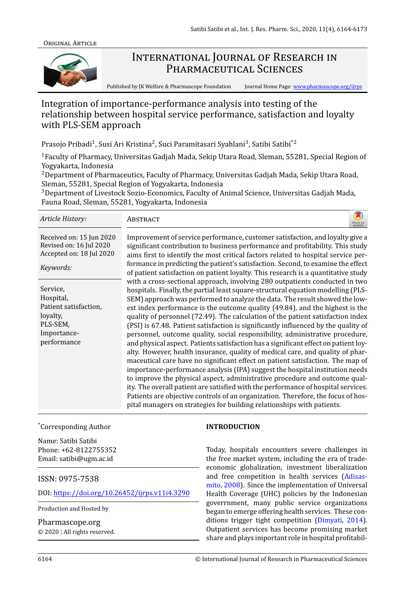

# INTERNATIONAL JOURNAL OF RESEARCH IN PHARMACEUTICAL SCIENCES

Published by JK Welfare & Pharmascope Foundation Journal Home Page: www.pharmascope.org/ijrps

## Integration of importance-performance analysis into testing of the relationship between hospital service performance, satisfact[ion and loyalty](http://www.pharmascope.org/ijrps) with PLS-SEM approach

Prasojo Pribadi<sup>1</sup>, Susi Ari Kristina<sup>2</sup>, Suci Paramitasari Syahlani<sup>3</sup>, Satibi Satibi $^{\ast}{}^{2}$ 

<sup>1</sup> Faculty of Pharmacy, Universitas Gadjah Mada, Sekip Utara Road, Sleman, 55281, Special Region of Yogyakarta, Indonesia

 $2$ Department of Pharmaceutics, Faculty of Pharmacy, Universitas Gadjah Mada, Sekip Utara Road, Sleman, 55281, Special Region of Yogyakarta, Indonesia

<sup>3</sup>Department of Livestock Sozio-Economics, Faculty of Animal Science, Universitas Gadjah Mada, Fauna Road, Sleman, 55281, Yogyakarta, Indonesia

| Article History:                                                                                     | ABSTRACT                                                                                                                                                                                                                                                                                                                                                                                                                                                                                                                                                                                                                                                                                                                                                                                                                                                                                                                                                                                                                                                                                                                                                                                                                                                            |
|------------------------------------------------------------------------------------------------------|---------------------------------------------------------------------------------------------------------------------------------------------------------------------------------------------------------------------------------------------------------------------------------------------------------------------------------------------------------------------------------------------------------------------------------------------------------------------------------------------------------------------------------------------------------------------------------------------------------------------------------------------------------------------------------------------------------------------------------------------------------------------------------------------------------------------------------------------------------------------------------------------------------------------------------------------------------------------------------------------------------------------------------------------------------------------------------------------------------------------------------------------------------------------------------------------------------------------------------------------------------------------|
| Received on: 15 Jun 2020<br>Revised on: 16 Jul 2020<br>Accepted on: 18 Jul 2020<br>Keywords:         | Improvement of service performance, customer satisfaction, and loyalty give a<br>significant contribution to business performance and profitability. This study<br>aims first to identify the most critical factors related to hospital service per-<br>formance in predicting the patient's satisfaction. Second, to examine the effect<br>of patient satisfaction on patient loyalty. This research is a quantitative study                                                                                                                                                                                                                                                                                                                                                                                                                                                                                                                                                                                                                                                                                                                                                                                                                                       |
| Service,<br>Hospital,<br>Patient satisfaction,<br>loyalty,<br>PLS-SEM,<br>Importance-<br>performance | with a cross-sectional approach, involving 280 outpatients conducted in two<br>hospitals. Finally, the partial least square-structural equation modelling (PLS-<br>SEM) approach was performed to analyze the data. The result showed the low-<br>est index performance is the outcome quality (49.84), and the highest is the<br>quality of personnel (72.49). The calculation of the patient satisfaction index<br>(PSI) is 67.48. Patient satisfaction is significantly influenced by the quality of<br>personnel, outcome quality, social responsibility, administrative procedure,<br>and physical aspect. Patients satisfaction has a significant effect on patient loy-<br>alty. However, health insurance, quality of medical care, and quality of phar-<br>maceutical care have no significant effect on patient satisfaction. The map of<br>importance-performance analysis (IPA) suggest the hospital institution needs<br>to improve the physical aspect, administrative procedure and outcome qual-<br>ity. The overall patient are satisfied with the performance of hospital services.<br>Patients are objective controls of an organization. Therefore, the focus of hos-<br>pital managers on strategies for building relationships with patients. |

#### \*Corresponding Author

Name: Satibi Satibi Phone: +62-8122755352 Email: satibi@ugm.ac.id

## ISSN: 0975-7538

DOI: https://doi.org/10.26452/ijrps.v11i4.3290

Production and Hosted by

Pharmascope.org

© 2020 *|* [All rights reserved.](https://doi.org/10.26452/ijrps.v11i4.3290)

#### **INTRODUCTION**

Today, hospitals encounters severe challenges in the free market system, including the era of tradeeconomic globalization, investment liberalization and free competition in health services (Adisasmito, 2008). Since the implementation of Universal Health Coverage (UHC) policies by the Indonesian goverrnment, many public service organizations began to emerge offering health services. Th[ese con](#page-8-0)[ditions trig](#page-8-0)ger tight competition (Dimyati, 2014). Outpatient services has become promising market share and plays important role in hospital profitabil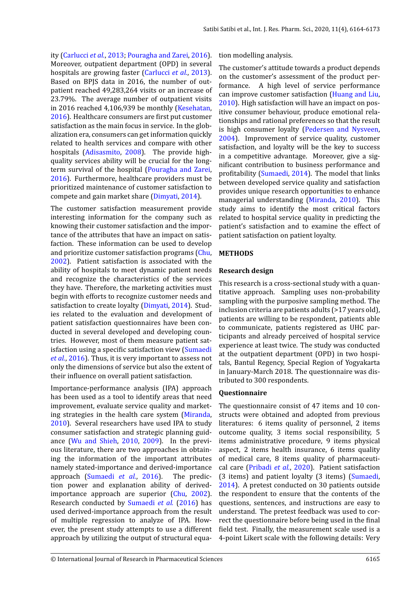ity (Carlucci *et al.*, 2013; Pouragha and Zarei, 2016). Moreover, outpatient department (OPD) in several hospitals are growing faster (Carlucci *et al.*, 2013). Based on BPJS data in 2016, the number of outpati[ent reached 49,283,](#page-8-2)[264 visits or an increase o](#page-8-3)f 23.79%. The average number of outpatient visits in 2016 reached 4,106,939 b[e monthly \(Kesehatan](#page-8-2), 2016). Healthcare consumers are first put customer satisfaction as the main focus in service. In the globalization era, consumers can get information quickly related to health services and compare [with other](#page-8-4) [hospi](#page-8-4)tals (Adisasmito, 2008). The provide highquality services ability will be crucial for the longterm survival of the hospital (Pouragha and Zarei, 2016). Furthermore, healthcare providers must be prioritized [maintenance of cu](#page-8-0)stomer satisfaction to compete and gain market share (Dimyati, 2014).

The customer satisfaction m[easurement provide](#page-8-3) [intere](#page-8-3)sting information for the company such as knowing their customer satisfac[tion and](#page-8-1) t[he im](#page-8-1)portance of the attributes that have an impact on satisfaction. These information can be used to develop and prioritize customer satisfaction programs (Chu, 2002). Patient satisfaction is associated with the ability of hospitals to meet dynamic patient needs and recognize the characteristics of the services they have. Therefore, the marketing activities [must](#page-8-5) [begin](#page-8-5) with efforts to recognize customer needs and satisfaction to create loyalty (Dimyati, 2014). Studies related to the evaluation and development of patient satisfaction questionnaires have been conducted in several developed and developing countries. However, most of the[m measure pati](#page-8-1)ent satisfaction using a specific satisfaction view (Sumaedi *et al.*, 2016). Thus, it is very important to assess not only the dimensions of service but also the extent of their influence on overall patient satisfaction.

Importance-performance analysis (IPA) [approach](#page-9-0) [has been u](#page-9-0)sed as a tool to identify areas that need improvement, evaluate service quality and marketing strategies in the health care system (Miranda, 2010). Several researchers have used IPA to study consumer satisfaction and strategic planning guidance (Wu and Shieh, 2010, 2009). In the previous literature, there are two approachesi[n obtain](#page-8-6)[ing t](#page-8-6)he information of the important attributes namely stated-importance and derived-importance appro[ach \(Sumaedi](#page-9-1) *[et al.](#page-9-1)*, [2016\)](#page-9-2). The prediction power and explanation ability of derivedimportance approach are superior (Chu, 2002). Research conducted by Sumaedi *et al.* (2016) has used deriv[ed-importance approach](#page-9-0) from the result of multiple regression to analyze of IPA. However, the present study attempts to us[e a d](#page-8-5)i[fferen](#page-8-5)t approach by utilizing th[e output of stru](#page-9-0)c[tural e](#page-9-0)quation modelling analysis.

The customer's attitude towards a product depends on the customer's assessment of the product performance. A high level of service performance can improve customer satisfaction (Huang and Liu, 2010). High satisfaction will have an impact on positive consumer behaviour, produce emotional relationships and rational preferences so that the result is high consumer loyalty (Pederse[n and Nysveen,](#page-8-7) [2004\)](#page-8-7). Improvement of service quality, customer satisfaction, and loyalty will be the key to success in a competitive advantage. Moreover, give a significant contribution to bu[siness performance and](#page-8-8) profitability (Sumaedi, 2014). The model that links between developed service quality and satisfaction provides unique research opportunities to enhance managerial understanding (Miranda, 2010). This study aims [to identi](#page-9-3)f[y the](#page-9-3) most critical factors related to hospital service quality in predicting the patient's satisfaction and to examine the effect of patient satisfaction on patie[nt loyalty.](#page-8-6)

## **METHODS**

## **Research design**

This research is a cross-sectional study with a quantitative approach. Sampling uses non-probability sampling with the purposive sampling method. The inclusion criteria are patients adults (>17 years old), patients are willing to be respondent, patients able to communicate, patients registered as UHC participants and already perceived of hospital service experience at least twice. The study was conducted at the outpatient department (OPD) in two hospitals, Bantul Regency, Special Region of Yogyakarta in January-March 2018. The questionnaire was distributed to 300 respondents.

#### **Questionnaire**

The questionnaire consist of 47 items and 10 constructs were obtained and adopted from previous literatures: 6 items quality of personnel, 2 items outcome quality, 3 items social responsibility, 5 items administrative procedure, 9 items physical aspect, 2 items health insurance, 6 items quality of medical care, 8 items quality of pharmaceutical care (Pribadi *et al.*, 2020). Patient satisfaction (3 items) and patient loyalty (3 items) (Sumaedi, 2014). A pretest conducted on 30 patients outside the respondent to ensure that the contents of the question[s, sentences, and ins](#page-8-9)tructions are easy to understand. The pretest feedback was us[ed to cor](#page-9-3)[rect th](#page-9-3)e questionnaire before being used in the final field test. Finally, the measurement scale used is a 4-point Likert scale with the following details: Very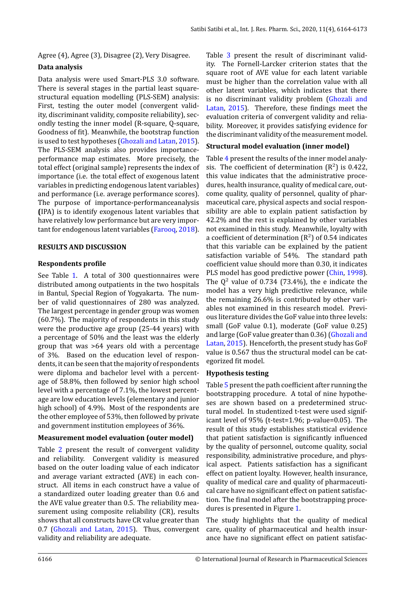Agree (4), Agree (3), Disagree (2), Very Disagree.

#### **Data analysis**

Data analysis were used Smart-PLS 3.0 software. There is several stages in the partial least squarestructural equation modelling (PLS-SEM) analysis: First, testing the outer model (convergent validity, discriminant validity, composite reliability), secondly testing the inner model (R-square, Q-square, Goodness of fit). Meanwhile, the bootstrap function is used to test hypotheses (Ghozali and Latan, 2015). The PLS-SEM analysis also provides importanceperformance map estimates. More precisely, the total effect (original sample) represents the index of importance (i.e. the total [effect of exogenous laten](#page-8-10)t variables in predicting endogenous latent variables) and performance (i.e. average performance scores). The purpose of importance-performanceanalysis **(**IPA) is to identify exogenous latent variables that have relatively low performance but are very important for endogenous latent variables (Farooq, 2018).

#### **RESULTS AND DISCUSSION**

#### **Respondents profile**

See Table 1. A total of 300 questionnaires were distributed among outpatients in the two hospitals in Bantul, Special Region of Yogyakarta. The number of valid questionnaires of 280 was analyzed. The larges[t p](#page-4-0)ercentage in gender group was women (60.7%). The majority of respondents in this study were the productive age group (25-44 years) with a percentage of 50% and the least was the elderly group that was >64 years old with a percentage of 3%. Based on the education level of respondents, it can be seen that the majority of respondents were diploma and bachelor level with a percentage of 58.8%, then followed by senior high school level with a percentage of 7.1%, the lowest percentage are low education levels (elementary and junior high school) of 4.9%. Most of the respondents are the other employee of 53%, then followed by private and government institution employees of 36%.

#### **Measurement model evaluation (outer model)**

Table 2 present the result of convergent validity and reliability. Convergent validity is measured based on the outer loading value of each indicator and average variant extracted (AVE) in each construct. [A](#page-5-0)ll items in each construct have a value of a standardized outer loading greater than 0.6 and the AVE value greater than 0.5. The reliability measurement using composite reliability (CR), results shows that all constructs have CR value greater than 0.7 (Ghozali and Latan, 2015). Thus, convergent validity and reliability are adequate.

Table 3 present the result of discriminant validity. The Fornell-Larcker criterion states that the square root of AVE value for each latent variable must be higher than the correlation value with all other [la](#page-6-0)tent variables, which indicates that there is no discriminant validity problem (Ghozali and Latan, 2015). Therefore, these findings meet the evaluation criteria of convergent validity and reliability. Moreover, it provides satisfying evidence for the discriminant validity of the measure[ment model.](#page-8-10)

#### **[Structural m](#page-8-10)odel evaluation (inner model)**

Table 4 present the results of the inner model analysis. The coefficient of determination ( $\mathsf{R}^2$ ) is 0.422, this value indicates that the administrative procedures, health insurance, quality of medical care, outcome [q](#page-6-1)uality, quality of personnel, quality of pharmaceutical care, physical aspects and social responsibility are able to explain patient satisfaction by 42.2% and the rest is explained by other variables not examined in this study. Meanwhile, loyalty with a coefficient of determination (R $^2)$  of 0.54 indicates that this variable can be explained by the patient satisfaction variable of 54%. The standard path coefficient value should more than 0.30, it indicates PLS model has good predictive power (Chin, 1998). The  $\mathrm{Q}^2$  value of 0.734 (73.4%), the e indicate the model has a very high predictive relevance, while the remaining 26.6% is contributed by other variables not examined in this research [model. Previ](#page-8-11)ous literature divides the GoF value into three levels: small (GoF value 0.1), moderate (GoF value 0.25) and large (GoF value greater than 0.36) (Ghozali and Latan, 2015). Henceforth, the present study has GoF value is 0.567 thus the structural model can be categorized fit model.

#### **[Hypothesis](#page-8-10) testing**

Table 5 present the path coefficient after running the bootstrapping procedure. A total of nine hypotheses are shown based on a predetermined structural model. In studentized t-test were used significant [le](#page-6-2)vel of 95% (t-test=1.96; p-value=0.05). The result of this study establishes statistical evidence that patient satisfaction is significantly influenced by the quality of personnel, outcome quality, social responsibility, administrative procedure, and physical aspect. Patients satisfaction has a significant effect on patient loyalty. However, health insurance, quality of medical care and quality of pharmaceutical care have no significant effect on patient satisfaction. The final model after the bootstrapping procedures is presented in Figure 1.

The study highlights that the quality of medical care, quality of pharmaceutical and health insurance have no significant eff[ec](#page-3-0)t on patient satisfac-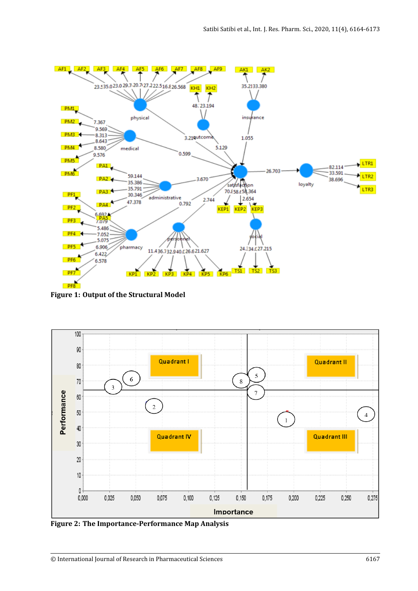<span id="page-3-0"></span>

**Figure 1: Output of the Structural Model**

<span id="page-3-1"></span>

**Figure 2: The Importance-Performance Map Analysis**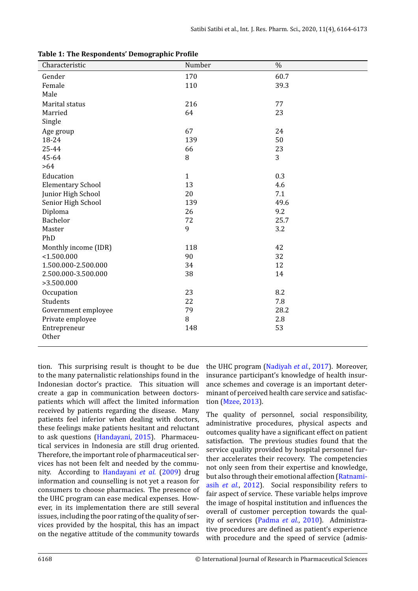<span id="page-4-0"></span>

| Characteristic           | Number       | $\%$ |
|--------------------------|--------------|------|
| Gender                   | 170          | 60.7 |
| Female                   | 110          | 39.3 |
| Male                     |              |      |
|                          |              |      |
| Marital status           | 216          | 77   |
| Married                  | 64           | 23   |
| Single                   |              |      |
| Age group                | 67           | 24   |
| 18-24                    | 139          | 50   |
| 25-44                    | 66           | 23   |
| 45-64                    | $\, 8$       | 3    |
| $>64$                    |              |      |
| Education                | $\mathbf{1}$ | 0.3  |
| <b>Elementary School</b> | 13           | 4.6  |
| Junior High School       | 20           | 7.1  |
| Senior High School       | 139          | 49.6 |
| Diploma                  | 26           | 9.2  |
| Bachelor                 | 72           | 25.7 |
| Master                   | 9            | 3.2  |
| PhD                      |              |      |
| Monthly income (IDR)     | 118          | 42   |
| < 1.500.000              | 90           | 32   |
| 1.500.000-2.500.000      | 34           | 12   |
| 2.500.000-3.500.000      | 38           | 14   |
| >3.500.000               |              |      |
| Occupation               | 23           | 8.2  |
| Students                 | 22           | 7.8  |
| Government employee      | 79           | 28.2 |
| Private employee         | $\, 8$       | 2.8  |
| Entrepreneur             | 148          | 53   |
| Other                    |              |      |

**Table 1: The Respondents' Demographic Profile** 

tion. This surprising result is thought to be due to the many paternalistic relationships found in the Indonesian doctor's practice. This situation will create a gap in communication between doctorspatients which will affect the limited information received by patients regarding the disease. Many patients feel inferior when dealing with doctors, these feelings make patients hesitant and reluctant to ask questions (Handayani, 2015). Pharmaceutical services in Indonesia are still drug oriented. Therefore, the important role of pharmaceutical services has not been felt and needed by the community. According to [Handaya](#page-8-12)ni *[et a](#page-8-12)l.* (2009) drug information and counselling is not yet a reason for consumers to choose pharmacies. The presence of the UHC program can ease medical expenses. However, in its implem[entation there are still s](#page-8-13)everal issues, including the poor rating of the quality of services provided by the hospital, this has an impact on the negative attitude of the community towards

the UHC program (Nadiyah *et al.*, 2017). Moreover, insurance participant's knowledge of health insurance schemes and coverage is an important determinant of perceived health care service and satisfaction (Mzee, 2013).

The quality of personnel, social responsibility, administrative procedures, physical aspects and outc[omes quality](#page-8-14) have a significant effect on patient satisfaction. The previous studies found that the service quality provided by hospital personnel further accelerates their recovery. The competencies not only seen from their expertise and knowledge, but also through their emotional affection (Ratnamiasih *et al.*, 2012). Social responsibility refers to fair aspect of service. These variable helps improve the image of hospital institution and influences the overall of customer perception towards [the qual](#page-8-15)[ity of serv](#page-8-15)i[ces \(P](#page-8-15)adma *et al.*, 2010). Administrative procedures are defined as patient's experience with procedure and the speed of service (admis-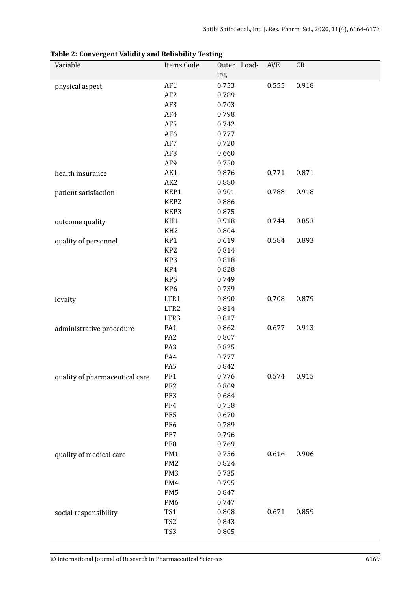| Variable                       | Items Code             | Outer          | Load- | <b>AVE</b> | CR    |
|--------------------------------|------------------------|----------------|-------|------------|-------|
|                                |                        | ing            |       |            |       |
| physical aspect                | AF1                    | 0.753          |       | 0.555      | 0.918 |
|                                | AF <sub>2</sub>        | 0.789          |       |            |       |
|                                | AF3<br>AF4             | 0.703<br>0.798 |       |            |       |
|                                | AF5                    | 0.742          |       |            |       |
|                                | AF <sub>6</sub>        | 0.777          |       |            |       |
|                                | AF7                    | 0.720          |       |            |       |
|                                | AF <sub>8</sub>        | 0.660          |       |            |       |
|                                | AF9                    | 0.750          |       |            |       |
| health insurance               | AK1                    | 0.876          |       | 0.771      | 0.871 |
|                                | AK <sub>2</sub>        | 0.880          |       |            |       |
| patient satisfaction           | KEP1                   | 0.901          |       | 0.788      | 0.918 |
|                                | KEP2                   | 0.886          |       |            |       |
|                                | KEP3                   | 0.875          |       |            |       |
| outcome quality                | KH1                    | 0.918          |       | 0.744      | 0.853 |
|                                | KH <sub>2</sub>        | 0.804          |       |            |       |
| quality of personnel           | KP1                    | 0.619          |       | 0.584      | 0.893 |
|                                | KP <sub>2</sub>        | 0.814          |       |            |       |
|                                | KP3                    | 0.818          |       |            |       |
|                                | KP4                    | 0.828          |       |            |       |
|                                | KP5                    | 0.749          |       |            |       |
|                                | KP <sub>6</sub>        | 0.739          |       |            |       |
| loyalty                        | LTR1                   | 0.890          |       | 0.708      | 0.879 |
|                                | LTR <sub>2</sub>       | 0.814          |       |            |       |
|                                | LTR3                   | 0.817          |       |            |       |
| administrative procedure       | PA1                    | 0.862          |       | 0.677      | 0.913 |
|                                | PA <sub>2</sub>        | 0.807          |       |            |       |
|                                | PA <sub>3</sub>        | 0.825          |       |            |       |
|                                | PA4                    | 0.777          |       |            |       |
|                                | PA5                    | 0.842          |       |            |       |
| quality of pharmaceutical care | PF1                    | 0.776          |       | 0.574      | 0.915 |
|                                | PF <sub>2</sub>        | 0.809          |       |            |       |
|                                | PF3                    | 0.684          |       |            |       |
|                                | PF4                    | 0.758          |       |            |       |
|                                | PF <sub>5</sub>        | 0.670          |       |            |       |
|                                | PF <sub>6</sub>        | 0.789          |       |            |       |
|                                | PF7                    | 0.796          |       |            |       |
|                                | PF8                    | 0.769          |       |            |       |
| quality of medical care        | PM1                    | 0.756          |       | 0.616      | 0.906 |
|                                | PM <sub>2</sub>        | 0.824          |       |            |       |
|                                | PM <sub>3</sub><br>PM4 | 0.735<br>0.795 |       |            |       |
|                                | PM <sub>5</sub>        | 0.847          |       |            |       |
|                                | PM <sub>6</sub>        | 0.747          |       |            |       |
|                                | TS1                    | 0.808          |       | 0.671      | 0.859 |
| social responsibility          | TS <sub>2</sub>        | 0.843          |       |            |       |
|                                | TS3                    | 0.805          |       |            |       |
|                                |                        |                |       |            |       |

<span id="page-5-0"></span>**Table 2: Convergent Validity and Reliability Testing**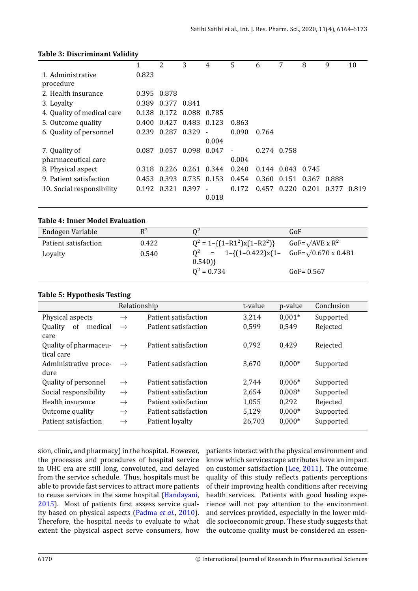#### **Table 3: Discriminant Validity**

<span id="page-6-0"></span>

|                            | 1     | 2                         | 3                 | 4     | 5     | 6     |                     | 8 | 9     | 10    |
|----------------------------|-------|---------------------------|-------------------|-------|-------|-------|---------------------|---|-------|-------|
| 1. Administrative          | 0.823 |                           |                   |       |       |       |                     |   |       |       |
| procedure                  |       |                           |                   |       |       |       |                     |   |       |       |
| 2. Health insurance        |       | 0.395 0.878               |                   |       |       |       |                     |   |       |       |
| 3. Loyalty                 |       | 0.389 0.377 0.841         |                   |       |       |       |                     |   |       |       |
| 4. Quality of medical care |       | 0.138 0.172 0.088 0.785   |                   |       |       |       |                     |   |       |       |
| 5. Outcome quality         |       | 0.400 0.427 0.483 0.123   |                   |       | 0.863 |       |                     |   |       |       |
| 6. Quality of personnel    |       | $0.239$ $0.287$ $0.329$ - |                   |       | 0.090 | 0.764 |                     |   |       |       |
|                            |       |                           |                   | 0.004 |       |       |                     |   |       |       |
| 7. Quality of              | 0.087 |                           | 0.057 0.098 0.047 |       |       |       | 0.274 0.758         |   |       |       |
| pharmaceutical care        |       |                           |                   |       | 0.004 |       |                     |   |       |       |
| 8. Physical aspect         | 0.318 |                           | 0.226 0.261 0.344 |       | 0.240 |       | 0.144 0.043 0.745   |   |       |       |
| 9. Patient satisfaction    |       | 0.453 0.393 0.735 0.153   |                   |       | 0.454 |       | 0.360 0.151 0.367   |   | 0.888 |       |
| 10. Social responsibility  |       | 0.192 0.321 0.397         |                   |       | 0.172 | 0.457 | $0.220 \quad 0.201$ |   | 0.377 | 0.819 |
|                            |       |                           |                   | 0.018 |       |       |                     |   |       |       |
|                            |       |                           |                   |       |       |       |                     |   |       |       |

|  |  |  |  | Table 4: Inner Model Evaluation |
|--|--|--|--|---------------------------------|
|--|--|--|--|---------------------------------|

<span id="page-6-1"></span>

| Endogen Variable     | $R^2$ | O <sup>2</sup>                                            | GoF                                |
|----------------------|-------|-----------------------------------------------------------|------------------------------------|
| Patient satisfaction | 0.422 | $Q^2 = 1 - \{(1 - R1^2)x(1 - R2^2)\}\$                    | GoF= $\sqrt{AVE}$ x R <sup>2</sup> |
| Loyalty              | 0.540 | $Q^2$ = 1-{(1-0.422)x(1- GoF= $\sqrt{0.670 \times 0.481}$ |                                    |
|                      |       | $0.540$ }                                                 |                                    |
|                      |       | $Q^2 = 0.734$                                             | $GoF = 0.567$                      |

#### **Table 5: Hypothesis Testing**

<span id="page-6-2"></span>

|                                             | Relationship  |                      | t-value | p-value  | Conclusion |
|---------------------------------------------|---------------|----------------------|---------|----------|------------|
| Physical aspects                            | $\rightarrow$ | Patient satisfaction | 3,214   | $0.001*$ | Supported  |
| Quality<br>medical<br><sub>of</sub><br>care | $\rightarrow$ | Patient satisfaction | 0,599   | 0,549    | Rejected   |
| Quality of pharmaceu-<br>tical care         | $\rightarrow$ | Patient satisfaction | 0,792   | 0.429    | Rejected   |
| Administrative proce-<br>dure               | $\rightarrow$ | Patient satisfaction | 3,670   | $0,000*$ | Supported  |
| Quality of personnel                        | $\rightarrow$ | Patient satisfaction | 2,744   | $0,006*$ | Supported  |
| Social responsibility                       | $\rightarrow$ | Patient satisfaction | 2,654   | $0.008*$ | Supported  |
| Health insurance                            | $\rightarrow$ | Patient satisfaction | 1,055   | 0,292    | Rejected   |
| Outcome quality                             | $\rightarrow$ | Patient satisfaction | 5,129   | $0,000*$ | Supported  |
| Patient satisfaction                        | $\rightarrow$ | Patient loyalty      | 26,703  | $0,000*$ | Supported  |

sion, clinic, and pharmacy) in the hospital. However, the processes and procedures of hospital service in UHC era are still long, convoluted, and delayed from the service schedule. Thus, hospitals must be able to provide fast services to attract more patients to reuse services in the same hospital (Handayani, 2015). Most of patients first assess service quality based on physical aspects (Padma *et al.*, 2010). Therefore, the hospital needs to evaluate to what [exten](#page-8-12)t the physical aspect serve cons[umers, how](#page-8-12)

patients interact with the physical environment and know which servicescape attributes have an impact on customer satisfaction (Lee, 2011). The outcome quality of this study reflects patients perceptions of their improving health conditions after receiving health services. Patients with good healing experience will not pay atte[ntion to th](#page-8-17)e environment and services provided, especially in the lower middle socioeconomic group. These study suggests that the outcome quality must be considered an essen-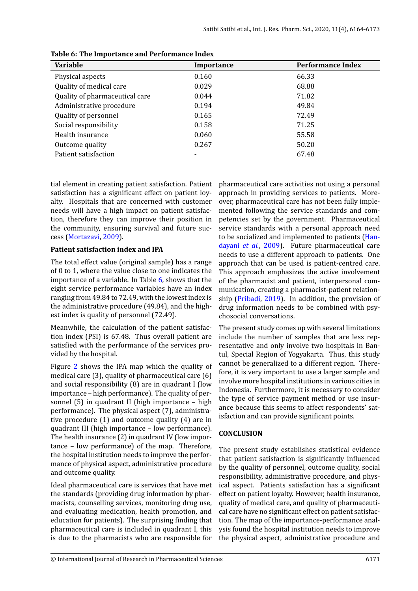<span id="page-7-0"></span>

| Variable                       | Importance | <b>Performance Index</b> |
|--------------------------------|------------|--------------------------|
| Physical aspects               | 0.160      | 66.33                    |
| Quality of medical care        | 0.029      | 68.88                    |
| Quality of pharmaceutical care | 0.044      | 71.82                    |
| Administrative procedure       | 0.194      | 49.84                    |
| Quality of personnel           | 0.165      | 72.49                    |
| Social responsibility          | 0.158      | 71.25                    |
| Health insurance               | 0.060      | 55.58                    |
| Outcome quality                | 0.267      | 50.20                    |
| Patient satisfaction           |            | 67.48                    |

**Table 6: The Importance and Performance Index**

tial element in creating patient satisfaction. Patient satisfaction has a significant effect on patient loyalty. Hospitals that are concerned with customer needs will have a high impact on patient satisfaction, therefore they can improve their position in the community, ensuring survival and future success (Mortazavi, 2009).

#### **Patient satisfaction index and IPA**

The total effect value (original sample) has a range of 0t[o 1, where the va](#page-8-18)lue close to one indicates the importance of a variable. In Table 6, shows that the eight service performance variables have an index ranging from 49.84 to 72.49, with the lowest index is the administrative procedure (49.84), and the highest index is quality of personnel ([72](#page-7-0).49).

Meanwhile, the calculation of the patient satisfaction index (PSI) is 67.48. Thus overall patient are satisfied with the performance of the services provided by the hospital.

Figure 2 shows the IPA map which the quality of medical care (3), quality of pharmaceutical care (6) and social responsibility (8) are in quadrant I (low importance – high performance). The quality of personnel [\(5](#page-3-1)) in quadrant II (high importance – high performance). The physical aspect (7), administrative procedure (1) and outcome quality (4) are in quadrant III (high importance – low performance). The health insurance (2) in quadrant IV (low importance – low performance) of the map. Therefore, the hospital institution needs to improve the performance of physical aspect, administrative procedure and outcome quality.

Ideal pharmaceutical care is services that have met the standards (providing drug information by pharmacists, counselling services, monitoring drug use, and evaluating medication, health promotion, and education for patients). The surprising finding that pharmaceutical care is included in quadrant I, this is due to the pharmacists who are responsible for pharmaceutical care activities not using a personal approach in providing services to patients. Moreover, pharmaceutical care has not been fully implemented following the service standards and competencies set by the government. Pharmaceutical service standards with a personal approach need to be socialized and implemented to patients (Handayani *et al.*, 2009). Future pharmaceutical care needs to use a different approach to patients. One approach that can be used is patient-centred care. This approach emphasizes the active involve[ment](#page-8-13) [of the pharmacist a](#page-8-13)nd patient, interpersonal communication, creating a pharmacist-patient relationship (Pribadi, 2019). In addition, the provision of drug information needs to be combined with psychosocial conversations.

The present study comes up with several limitations inclu[de the number](#page-8-19) of samples that are less representative and only involve two hospitals in Bantul, Special Region of Yogyakarta. Thus, this study cannot be generalized to a different region. Therefore, it is very important to use a larger sample and involve more hospital institutions in various cities in Indonesia. Furthermore, it is necessary to consider the type of service payment method or use insurance because this seems to affect respondents' satisfaction and can provide significant points.

#### **CONCLUSION**

The present study establishes statistical evidence that patient satisfaction is significantly influenced by the quality of personnel, outcome quality, social responsibility, administrative procedure, and physical aspect. Patients satisfaction has a significant effect on patient loyalty. However, health insurance, quality of medical care, and quality of pharmaceutical care have no significant effect on patient satisfaction. The map of the importance-performance analysis found the hospital institution needs to improve the physical aspect, administrative procedure and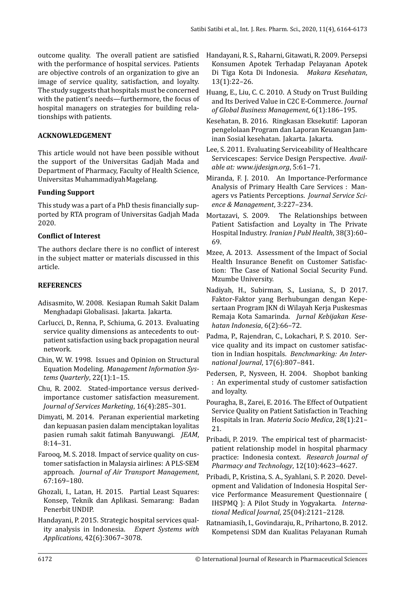outcome quality. The overall patient are satisfied with the performance of hospital services. Patients are objective controls of an organization to give an image of service quality, satisfaction, and loyalty. The study suggests that hospitals must be concerned with the patient's needs—furthermore, the focus of hospital managers on strategies for building relationships with patients.

## **ACKNOWLEDGEMENT**

This article would not have been possible without the support of the Universitas Gadjah Mada and Department of Pharmacy, Faculty of Health Science, Universitas MuhammadiyahMagelang.

## **Funding Support**

This study was a part of a PhD thesis financially supported by RTA program of Universitas Gadjah Mada 2020.

## **Conৎlict of Interest**

The authors declare there is no conflict of interest in the subject matter or materials discussed in this article.

## **REFERENCES**

- <span id="page-8-0"></span>Adisasmito, W. 2008. Kesiapan Rumah Sakit Dalam Menghadapi Globalisasi. Jakarta. Jakarta.
- <span id="page-8-2"></span>Carlucci, D., Renna, P., Schiuma, G. 2013. Evaluating service quality dimensions as antecedents to outpatient satisfaction using back propagation neural network.
- <span id="page-8-11"></span>Chin, W. W. 1998. Issues and Opinion on Structural Equation Modeling. *Management Information Systems Quarterly*, 22(1):1–15.
- <span id="page-8-5"></span>Chu, R. 2002. Stated-importance versus derivedimportance customer satisfaction measurement. *Journal of Services Marketing*, 16(4):285–301.
- <span id="page-8-1"></span>Dimyati, M. 2014. Peranan experiential marketing dan kepuasan pasien dalam menciptakan loyalitas pasien rumah sakit fatimah Banyuwangi. *JEAM*, 8:14–31.
- Farooq, M. S. 2018. Impact of service quality on customer satisfaction in Malaysia airlines: A PLS-SEM approach. *Journal of Air Transport Management*, 67:169–180.
- <span id="page-8-10"></span>Ghozali, I., Latan, H. 2015. Partial Least Squares: Konsep, Teknik dan Aplikasi. Semarang: Badan Penerbit UNDIP.
- <span id="page-8-12"></span>Handayani, P. 2015. Strategic hospital services quality analysis in Indonesia. *Expert Systems with Applications*, 42(6):3067–3078.
- <span id="page-8-13"></span>Handayani, R. S., Raharni, Gitawati, R. 2009. Persepsi Konsumen Apotek Terhadap Pelayanan Apotek Di Tiga Kota Di Indonesia. *Makara Kesehatan*, 13(1):22–26.
- <span id="page-8-7"></span>Huang, E., Liu, C. C. 2010. A Study on Trust Building and Its Derived Value in C2C E-Commerce. *Journal of Global Business Management*, 6(1):186–195.
- <span id="page-8-4"></span>Kesehatan, B. 2016. Ringkasan Eksekutif: Laporan pengelolaan Program dan Laporan Keuangan Jaminan Sosial kesehatan. Jakarta. Jakarta.
- <span id="page-8-17"></span>Lee, S. 2011. Evaluating Serviceability of Healthcare Servicescapes: Service Design Perspective. *Available at: www.ijdesign.org*, 5:61–71.
- <span id="page-8-6"></span>Miranda, F. J. 2010. An Importance-Performance Analysis of Primary Health Care Services : Managers vs Patients Perceptions. *Journal Service Science & Management*, 3:227–234.
- <span id="page-8-18"></span>Mortazavi, S. 2009. The Relationships between Patient Satisfaction and Loyalty in The Private Hospital Industry. *Iranian J Publ Health*, 38(3):60– 69.
- <span id="page-8-14"></span>Mzee, A. 2013. Assessment of the Impact of Social Health Insurance Benefit on Customer Satisfaction: The Case of National Social Security Fund. Mzumbe University.
- Nadiyah, H., Subirman, S., Lusiana, S., D 2017. Faktor-Faktor yang Berhubungan dengan Kepesertaan Program JKN di Wilayah Kerja Puskesmas Remaja Kota Samarinda. *Jurnal Kebijakan Kesehatan Indonesia*, 6(2):66–72.
- <span id="page-8-16"></span>Padma, P., Rajendran, C., Lokachari, P. S. 2010. Service quality and its impact on customer satisfaction in Indian hospitals. *Benchmarking: An International Journal*, 17(6):807–841.
- <span id="page-8-8"></span>Pedersen, P., Nysveen, H. 2004. Shopbot banking : An experimental study of customer satisfaction and loyalty.
- <span id="page-8-3"></span>Pouragha, B., Zarei, E. 2016. The Effect of Outpatient Service Quality on Patient Satisfaction in Teaching Hospitals in Iran. *Materia Socio Medica*, 28(1):21– 21.
- <span id="page-8-19"></span>Pribadi, P. 2019. The empirical test of pharmacistpatient relationship model in hospital pharmacy practice: Indonesia context. *Research Journal of Pharmacy and Technology*, 12(10):4623–4627.
- <span id="page-8-9"></span>Pribadi, P., Kristina, S. A., Syahlani, S. P. 2020. Development and Validation of Indonesia Hospital Service Performance Measurement Questionnaire ( IHSPMQ ): A Pilot Study in Yogyakarta. *International Medical Journal*, 25(04):2121–2128.
- <span id="page-8-15"></span>Ratnamiasih, I., Govindaraju, R., Prihartono, B. 2012. Kompetensi SDM dan Kualitas Pelayanan Rumah